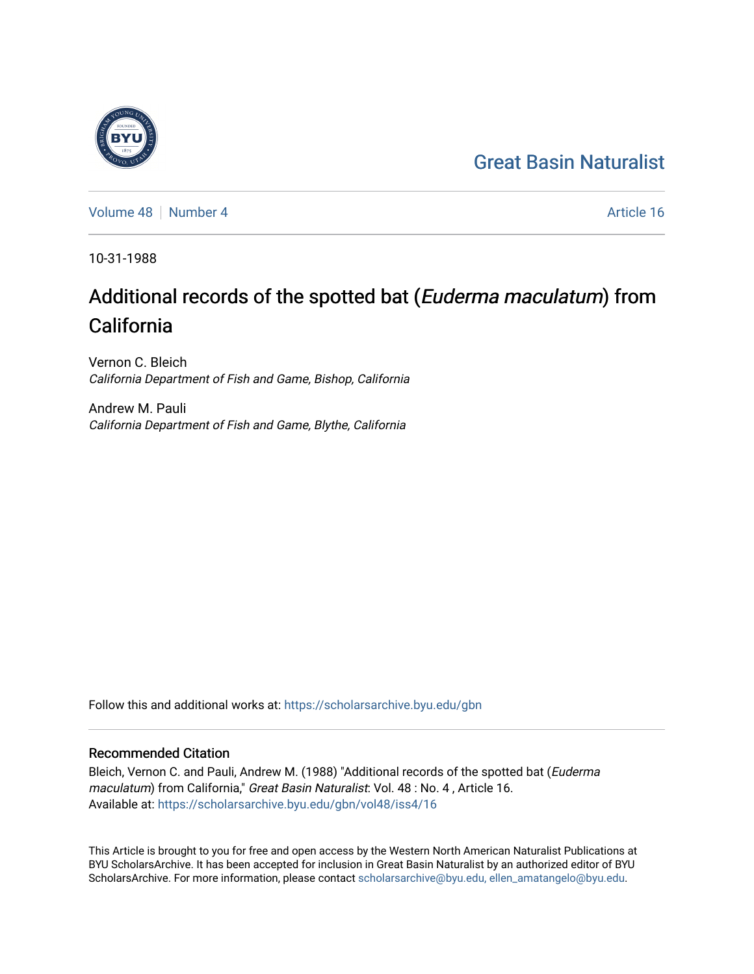## [Great Basin Naturalist](https://scholarsarchive.byu.edu/gbn)

[Volume 48](https://scholarsarchive.byu.edu/gbn/vol48) [Number 4](https://scholarsarchive.byu.edu/gbn/vol48/iss4) Article 16

10-31-1988

# Additional records of the spotted bat (Euderma maculatum) from California

Vernon C. Bleich California Department of Fish and Game, Bishop, California

Andrew M. Pauli California Department of Fish and Game, Blythe, California

Follow this and additional works at: [https://scholarsarchive.byu.edu/gbn](https://scholarsarchive.byu.edu/gbn?utm_source=scholarsarchive.byu.edu%2Fgbn%2Fvol48%2Fiss4%2F16&utm_medium=PDF&utm_campaign=PDFCoverPages) 

### Recommended Citation

Bleich, Vernon C. and Pauli, Andrew M. (1988) "Additional records of the spotted bat (Euderma maculatum) from California," Great Basin Naturalist: Vol. 48 : No. 4, Article 16. Available at: [https://scholarsarchive.byu.edu/gbn/vol48/iss4/16](https://scholarsarchive.byu.edu/gbn/vol48/iss4/16?utm_source=scholarsarchive.byu.edu%2Fgbn%2Fvol48%2Fiss4%2F16&utm_medium=PDF&utm_campaign=PDFCoverPages) 

This Article is brought to you for free and open access by the Western North American Naturalist Publications at BYU ScholarsArchive. It has been accepted for inclusion in Great Basin Naturalist by an authorized editor of BYU ScholarsArchive. For more information, please contact [scholarsarchive@byu.edu, ellen\\_amatangelo@byu.edu.](mailto:scholarsarchive@byu.edu,%20ellen_amatangelo@byu.edu)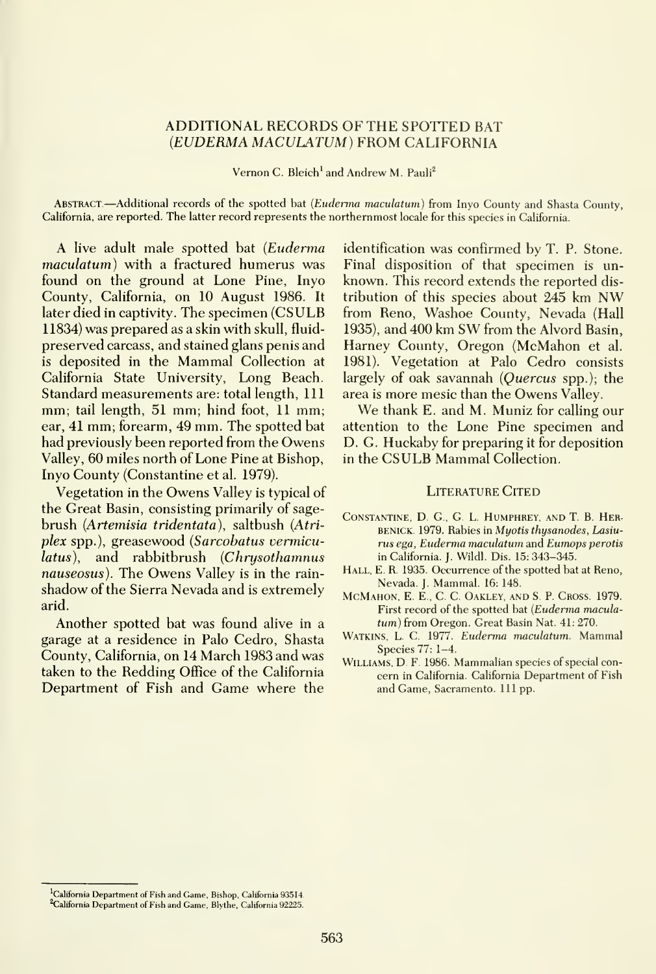#### ADDITIONAL RECORDS OF THE SPOTTED BAT {EUDERMA MACULATUM) FROM CALIFORNIA

Vernon C. Bleich' and Andrew M. Pauli^

ABSTRACT.—Additional records of the spotted bat (Euderma maculatum) from Inyo County and Shasta County, California, are reported. The latter record represents the northernmost locale for this species in California.

A live adult male spotted bat {Euderma maculatum) with a fractured humerus was found on the ground at Lone Pine, Inyo County, California, on 10 August 1986. It later died in captivity. The specimen (CSULB 11834) was prepared as a skin with skull, fluid preserved carcass, and stained glans penis and is deposited in the Mammal Collection at California State University, Long Beach. Standard measurements are: total length. 111 mm; tail length, 51 mm; hind foot, <sup>11</sup> mm; ear, 41 mm; forearm, 49 mm. The spotted bat had previously been reported from the Owens Valley, 60 miles north of Lone Pine at Bishop, Inyo County (Constantine et al. 1979).

Vegetation in the Owens Valley is typical of the Great Basin, consisting primarily of sage brush (Artemisia tridentata), saltbush {Atriplex spp.), greasewood (Sarcobatus vermiculatus), and rabbitbrush (Chrysothamnus nauseosus). The Owens Valley is in the rain shadow of the Sierra Nevada and is extremely arid.

Another spotted bat was found alive in a garage at a residence in Palo Cedro, Shasta County, California, on 14 March 1983 and was taken to the Redding Office of the California Department of Fish and Game where the

identification was confirmed by T. P. Stone. Final disposition of that specimen is un known. This record extends the reported dis tribution of this species about 245 km NV^ from Reno, Washoe County, Nevada (Hall 1935), and <sup>400</sup> km SW from the Alvord Basin, Harney County, Oregon (McMahon et al. 1981). Vegetation at Palo Cedro consists largely of oak savannah (Quercus spp.); the area is more mesic than the Owens Valley.

We thank E. and M. Muniz for calling our attention to the Lone Pine specimen and D. G. Huckaby for preparing it for deposition in the CSULB Mammal Collection.

#### **LITERATURE CITED**

- CONSTANTINE, D. G., G. L. HUMPHREY, AND T. B. HER-BENICK. 1979. Rabies in Myotis thysanodes, Lasiurus ega, Euderma maculatum and Eumops perotis in California. J. Wildl. Dis. 15: 343-345.
- HALL, E. R. 1935. Occurrence of the spotted bat at Reno, Nevada. J. Mammal. 16: 148.
- MCMAHON, E. E., C. C. OAKLEY, AND S. P. CROSS. 1979. First record of the spotted bat {Euderma macula tum) from Oregon. Great Basin Nat. 41: 270.
- WATKINS, L. C. 1977. Euderma maculatum. Mammal Species 77: 1-4.
- WILLIAMS, D. F. 1986. Mammalian species of special concern in California. California Department of Fish and Game, Sacramento. Ill pp.

California Department of Fish and Game, Bishop, California 93514. <sup>2</sup>California Department of Fish and Game, Blythe, California 92225.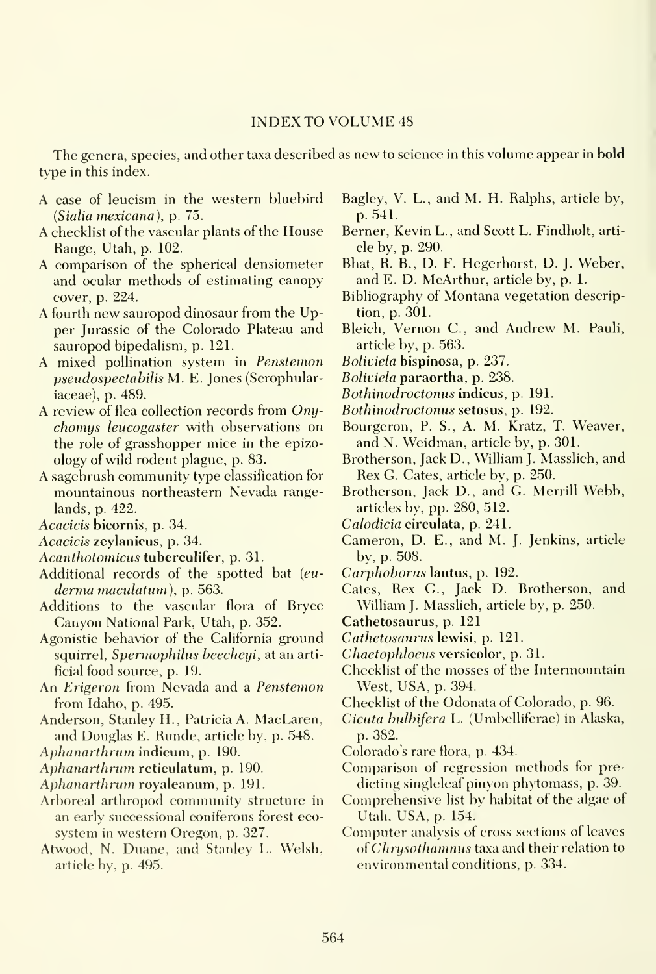#### INDEX TO VOLUME <sup>48</sup>

The genera, species, and other taxa described as new to science in this volume appear in **bold** type in this index.

- A case of leucism in the western bluebird (Sialia mexicana), p. 75.
- A checklist of the vascular plants of the House Range, Utah, p. 102.
- A comparison of the spherical densiometer and ocular methods of estimating canopy cover, p. 224.
- A fourth new sauropod dinosaur from the Upper Jurassic of the Colorado Plateau and sauropod bipedalism, p. 121.
- A mixed pollination system in Penstemon pseudospectabilis M. E. Jones (Scrophulariaceae), p. 489.
- A review of flea collection records from Onychomys leucogaster with observations on the role of grasshopper mice in the epizoology of wild rodent plague, p. 83.
- A sagebrush community type classification for mountainous northeastern Nevada rangelands, p. 422.

Acacicis bicornis, p. 34.

- Acacicis zeylanicus, p. 34.
- Acanthotomicus tuberculifer, p. 31.
- Additional records of the spotted bat (euderma maculatum), p. 563.
- Additions to the vascular flora of Bryce Canyon National Park, Utah, p. 352.
- Agonistic behavior of the California ground squirrel, Spermophilus beecheyi, at an artificial food source, p. 19.
- An Erigeron from Nevada and a Penstemon from Idaho, p. 495.
- Anderson, Stanley H., Patricia A. MacLaren, and Douglas E. Runde, article by, p. 548.
- Aphanarthrum indicum, p. 190.
- Aphanarthrum reticulatum, p. 190.
- Aphanarthrum royaleanum, p. 191.
- Arboreal arthropod community structure in an early successional coniferous forest eco system in western Oregon, p. 327.
- Atwood, N. Duane, and Stanley L. Welsh, article by, p. 495.

Bagley, V. L., and M. H. Ralphs, article by, p. 541.

- Berner, Kevin L., and Scott L. Findholt, arti cle by, p. 290.
- Bhat, R. B., D. F. Hegerhorst, D. J. Weber, and E. D. McArthur, article by, p. 1.
- Bibliography of Montana vegetation description, p. 301.
- Bleich, Vernon C, and Andrew M. Pauli, article by, p. 563.
- Boliviela bispinosa, p. 237.
- Boliviela paraortha, p. 238.
- Bothinodroctonus indicus, p. 191.
- Bothinodroctonus setosus, p. 192.
- Bourgeron, P. S., A. M. Kratz, T. Weaver, and N. Weidman, article by, p. 301.
- Brotherson, Jack D., Wilham J. Masslich, and Rex G. Cates, article by, p. 250.
- Brotherson, Jack D., and G. Merrill Webb, articles by, pp. 280, 512.
- Calodicia circulata, p. 241.
- Cameron, D. E., and M. J. Jenkins, article by, p. 508.
- Carphoborus lautus, p. 192.
- Cates, Rex G., Jack D. Brotherson, and William J. Masslich, article by, p. 250.
- Cathetosaurus, p. 121
- Cathetosaurus lewisi, p. 121.
- Chaetophloeus versicolor, p. 31.
- Checklist of the mosses of the Intermountain West, USA, p. 394.
- Checklist of the Odonata of Colorado, p. 96.
- Cicuta bulbifera L. (Umbelliferae) in Alaska, p. 382.
- Colorado's rare flora, p. 434.
- Comparison of regression methods for predicting singleleaf pinyon phytomass, p. 39.
- Comprehensive list by habitat of the algae of Utah, USA, p. 154.'
- Computer analysis of cross sections of leaves of *Chrysothamnus* taxa and their relation to environmental conditions, p. 334.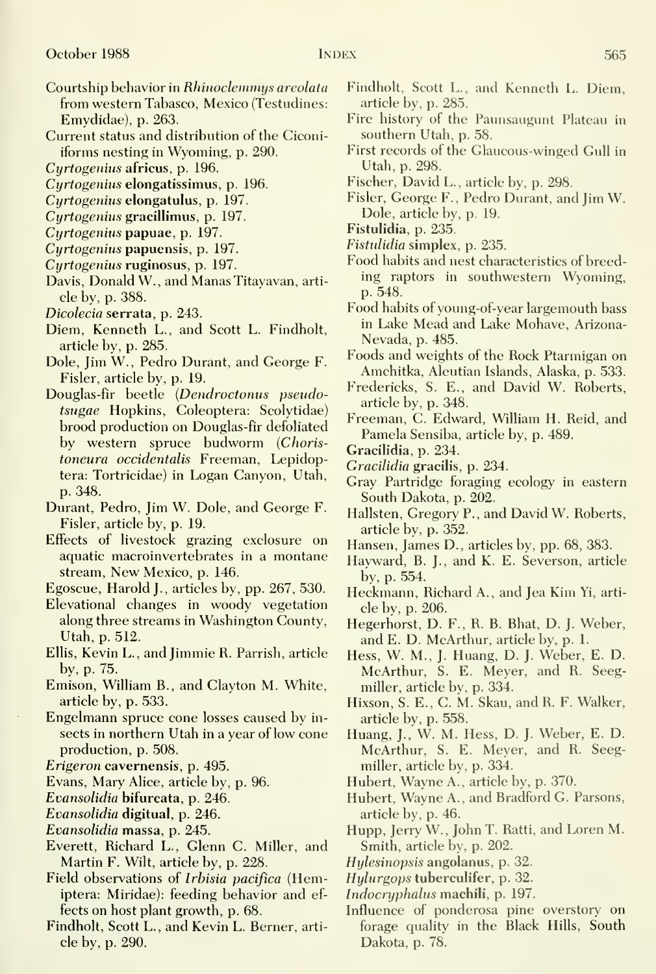- Courtship behavior in Rhinoclemmys areolata from western Tabasco, Mexico (Testudines: Emydidae), p. 263.
- Current status and distribution of the Ciconiiforms nesting in Wyoming, p. 290.
- Cyrtogenius africus, p. 196.
- Cyrtogenius elongatissimus, p. 196.
- Cyrtogenius elongatulus, p. 197.
- Curtogenius gracillimus, p. 197.
- Cyrtogenius papuae, p. 197.
- Cyrtogenius papuensis, p. 197.
- Cyrtogenius ruginosus, p. 197.
- Davis, Donald W., and Manas Titayavan, article by, p. 388.
- Dicolecia serrata, p. 243.
- Diem, Kenneth L., and Scott L. Findholt, article by, p. 285.
- Dole, Jim W., Pedro Durant, and George F. Fisler, article by, p. 19.
- Douglas-fir beetle (Dendroctonus pseudotsugae Hopkins, Coleoptera: Scolytidae) brood production on Douglas-fir defoliated by western spruce budworm (Choris toneura occidentalis Freeman, Lepidoptera: Tortricidae) in Logan Canyon, Utah, p. 348.
- Durant, Pedro, Jim W. Dole, and George F. Fisler, article by, p. 19.
- Effects of livestock grazing exclosure on aquatic macroinvertebrates in a montane stream. New Mexico, p. 146.
- Egoscue, Harold J., articles by, pp. 267, 530.
- Elevational changes in woody vegetation along three streams in Washington County, Utah, p. 512.
- Ellis, Kevin L., and Jimmie R. Parrish, article by, p. 75.
- Emison, William B., and Clayton M. White, article by, p. 533.
- Engelmann spruce cone losses caused by in sects in northern Utah in a year of low cone production, p. 508.
- Erigeron cavernensis, p. 495.
- Evans, Mary Alice, article by, p. 96.
- Evansolidia bifurcata, p. 246.
- Evansolidia digitual, p. 246.
- Evansolidia massa, p. 245.
- Everett, Richard L., Glenn C. Miller, and Martin F. Wilt, article by, p. 228.
- Field observations of *Irbisia pacifica* (Hemiptera: Miridae): feeding behavior and ef fects on host plant growth, p. 68.
- Findholt, Scott L., and Kevin L. Berner, arti cle by, p. 290.
- Findholt, Scott L., and Kenneth L. Diem, article by, p. 285.
- Fire history of the Paunsaugunt Plateau in southern Utah, p. 58.
- First records of the Glaucous-winged Gull in Utah, p. 298.
- Fischer, David L., article by, p. 298.
- Fisler, George F., Pedro Durant, and Jim W. Dole, article by, p. 19.
- Fistulidia, p. 235.
- Fistulidia simplex, p. 235.
- Food habits and nest characteristics of breeding raptors in southwestern Wyoming, p. 548.
- Food habits of young-of-year largemouth bass in Lake Mead and Lake Mohave, Arizona-Nevada, p. 485.
- Foods and weights of the Rock Ptarmigan on Amchitka, Aleutian Islands, Alaska, p. 533.
- Fredericks, S. E., and David W. Roberts, article by, p. 348.
- Freeman, C. Edward, William H. Reid, and Pamela Sensiba, article by, p. 489.
- Gracilidia, p. 234.
- Gracilidia gracilis, p. 234.
- Gray Partridge foraging ecology in eastern South Dakota, p. 202.
- Hallsten, Gregory P., and David W. Roberts, article by, p. 352.
- Hansen, James D., articles by, pp. 68, 383.
- Hayward, B. J., and K. E. Severson, article by, p. 554.
- Heckmann, Richard A., and Jea Kim Yi, arti cle by, p. 206.
- Hegerhorst, D. F., R. B. Bhat, D. J. Weber, and E. D. McArthur, article by, p. 1.
- Hess, W. M., J. Huang, D. J. Weber, E. D. McArthur, S. E. Meyer, and R. Seegmiller, article by, p. 334.
- Hixson, S. E., C. M. Skau, and R. F. Walker, article by, p. 558.
- Huang, J., W. M. Hess, D. J. Weber, E. D. McArthur, S. E. Meyer, and R. Seegmiller, article by, p. 334.
- Hubert, Wayne A., article by, p. 370.
- Hubert, Wayne A., and Bradford G. Parsons, article by, p. 46.
- Hupp, Jerry W., John T. Ratti, and Loren M. Smith, article by, p. 202.
- Hylesinopsis angolanus, p. 32.
- Hylurgops tuberculifer, p. 32.
- Indocryphalus machili, p. 197.
- Influence of ponderosa pine overstory on forage quality in the Black Hills, South Dakota, p. 78.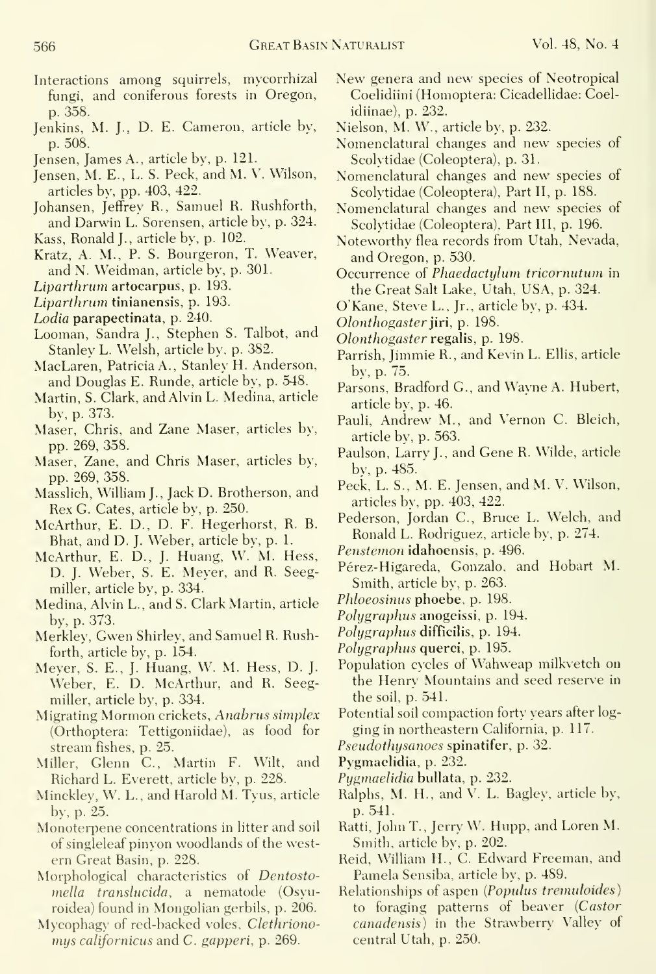- Jenkins, M. J., D. E. Cameron, article by, p. 508.
- Jensen, James A., article by, p. 121.
- Jensen, M. E., L. S. Peck, and M. V. Wilson, articles by, pp. 403, 422.
- Johansen, Jeffrey R., Samuel R. Rushforth, and Darwin L. Sorensen, article by, p. 324.
- Kass, Ronald J., article by, p. 102.
- Kratz, A. M., P. S. Bourgeron, T. Weaver, and N. Weidman, article by, p. 301.
- Liparthrum artocarpus, p. 193.
- Liparthrum tinianensis, p. 193.
- Lodia parapectinata, p. 240.
- Looman, Sandra J., Stephen S. Talbot, and Stanley L. Welsh, article by, p. 382.
- MacLaren, Patricia A., Stanley H. Anderson, and Douglas E. Runde, article by, p. 548.
- Martin, S. Clark, and Alvin L. Medina, article by, p. 373.
- Maser, Chris, and Zane Maser, articles by, pp. 269, 358.
- Maser, Zane, and Chris Maser, articles by, pp. 269, 358.
- Masslich, William J., Jack D. Brotherson, and Rex G. Gates, article bv, p. 250.
- McArthur, E. D., D. F. Hegerhorst, R. B. Bhat, and D. J. Weber, article by, p. 1.
- McArthur, E. D., J. Huang, W. M. Hess, D. J. Weber, S. E. Meyer, and R. Seegmiller, article by, p. 334.
- Medina, Alvin L., and S. Clark Martin, article by. p. 373.
- Merkley, Gwen Shirley, and Samuel R. Rushforth, article bv, p. 154.
- Meyer, S. E., J. Huang, W. M. Hess, D. J. Weber, E. D. McArthur, and R. Seegmiller, article by, p. 334.
- Migrating Mormon crickets, Anahrus simplex (Orthoptera: Tettigoniidae), as food for stream fishes, p. 25.
- Miller, Glenn C, Martin F. Wilt, and Richard L. Everett, article by, p. 228.
- Minckley, W. L., and Harold M. Tyus, article by, p. 25.
- Monoterpene concentrations in litter and soil of singleleaf pinyon woodlands of the west ern Great Basin, p. 228.
- Morphological characteristics of Dentostomella translucida, a nematode (Osyuroidea) found in Mongolian gerbils, p. 206.
- Mycophagy of red-backed voles, Clethrionomys californicus and C. gapperi, p. 269.
- New genera and new species of Neotropical Coelidiini (Homoptera: Cicadellidae: Coelidiinae), p. 232.
- Nielson, M. W., article by, p. 232.
- Nomenclatural changes and new species of Scolytidae (Coleoptera), p. 31.
- Nomenclatural changes and new species of Scolytidae (Coleoptera), Part II, p. 188.
- Nomenclatural changes and new species of Scolytidae (Coleoptera), Part III, p. 196.
- Noteworthy flea records from Utah, Nevada, and Oregon, p. 530.
- Occurrence of Phaedactylum tricornutum in the Great Salt Lake, Utah, USA, p. 324.
- O'Kane, Steve L., Jr., article by, p. 434.
- Olonthogaster jiri, p. 198.
- Olonthogaster regalis, p. 198.
- Parrish, Jimmie R., and Kevin L. Ellis, article by, p. 75.
- Parsons, Bradford G., and Wayne A. Hubert, article by, p. 46.
- Pauli, Andrew M., and Vernon C. Bleich, article by, p. 563.
- Paulson, Larry J., and Gene R. Wilde, article by, p. 485.
- Peck, L. S., M. E. Jensen, and M. \'. Wilson, articles by. pp. 403, 422.
- Pederson, Jordan C, Bruce L. Welch, and Ronald L. Rodriguez, article by, p. 274.
- Penstemon idahoensis, p. 496.
- Pérez-Higareda, Gonzalo, and Hobart M. Smith, article by, p. 263.
- Phloeosinus phoebe, p. 198.
- Polygraphus anogeissi, p. 194.
- Polygraphus difficilis, p. 194.
- Polygraphus querci, p. 195.
- Population cycles of Wahweap milkvetch on the Henry Mountains and seed reserve in the soil, p. 541.
- Potential soil compaction forty years after logging in northeastern California, p. 117.
- Pseudothysanoes spinatifer, p. 32.
- Pygmaelidia. p. 232.
- Pygmaelidia bullata, p. 232.
- Ralphs, M. H.. and V. L. Bagley, article by, p. 541.
- Ratti, John T., Jerry W. Hupp, and Loren M. Smith, article by, p. 202.
- Reid, William H., C. Edward Freeman, and Pamela Sensiba, article by, p. 489.
- Relationships of aspen [Populus tremuloides) to foraging patterns of beaver {Castor canadensis) in the Strawberry Valley of central Utah, p. 250.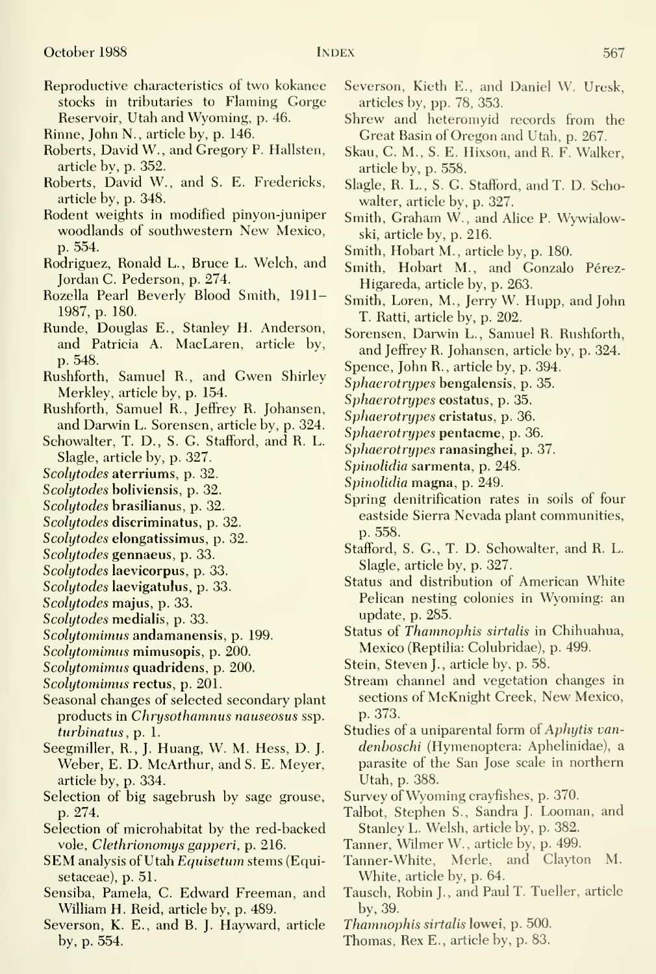- Reproductive characteristics of two kokanee stocks in tributaries to Flaming Gorge Reservoir, Utah and Wyoming, p. 46.
- Rinne, John N., article by, p. 146.
- Roberts, David W., and Gregory P. Hallsten, article by, p. 352.
- Roberts, David W., and S. E. Fredericks, article by, p. 348.
- Rodent weights in modified pinyon-juniper woodlands of southwestern New Mexico, p. 554.
- Rodriguez, Ronald L., Bruce L. Welch, and Jordan C. Pederson, p. 274.
- Rozella Pearl Beverly Blood Smith, 1911- 1987, p. 180.
- Runde, Douglas E., Stanley H. Anderson, and Patricia A. MacLaren, article by, p. 548.
- Rushforth, Samuel R., and Gwen Shirley Merkley, article by, p. 154.
- Rushforth, Samuel R., Jeffrey R. Johansen, and Darwin L. Sorensen, article by, p. 324.
- Schowalter, T. D., S. G. Stafford, and R. L. Slagle, article by, p. 327.
- Scolytodes aterriums, p. 32.
- Scolytodes boliviensis, p. 32.
- Scolytodes brasilianus, p. 32.
- Scolytodes discriminatus, p. 32.
- Scolytodes elongatissimus, p. 32.
- Scolytodes gennaeus, p. 33.
- Scolytodes laevicorpus, p. 33.
- Scolytodes laevigatulus, p. 33.
- Scolytodes majus, p. 33.
- Scolytodes medialis, p. 33.
- Scolytomimus andamanensis, p. 199.
- Scolytomimus mimusopis, p. 200.
- Scolytomimus quadridens, p. 200.
- Scolytomimus rectus, p. 201.
- Seasonal changes of selected secondary plant products in Chrysothamnus nauseosus ssp. turbinatus, p. 1.
- Seegmiller, R., J. Huang, W. M. Hess, D. J. Weber, E. D. McArthur, and S. E. Meyer, article by, p. 334.
- Selection of big sagebrush by sage grouse, p. 274.
- Selection of microhabitat by the red-backed vole, Clethrionomys gapperi, p. 216.
- SEM analysis of Utah Equisetum stems (Equisetaceae), p. 51.
- Sensiba, Pamela, C. Edward Freeman, and William H. Reid, article by, p. 489.
- Severson, K. E., and B. J. Hayward, article by, p. 554.
- Severson, Kieth E., and Daniel W. Uresk, articles by, pp. 78, 353.
- Shrew and heteromyid records from the Great Basin of Oregon and Utah, p. 267.
- Skau, C. M., S. E. Hixson, and R. F. Walker, article by, p. 558.
- Slagle, R. L., S. G. Stafford, and T. D. Schowalter, article by, p. 327.
- Smith, Graham W., and Alice P. Wywialowski, article by, p. 216.
- Smith, Hobart M., article by, p. 180.
- Smith, Hobart M., and Gonzalo Pérez-Higareda, article by, p. 263.
- Smith, Loren, M., Jerry W. Hupp, and John T. Ratti, article by, p. 202.
- Sorensen, Darwin L., Samuel R. Rushforth, and Jeffrey R. Johansen, article by, p. 324.
- Spence, John R., article by, p. 394.
- Sphaerotrypes bengalensis, p. 35.
- Sphaerotrypes costatus, p. 35.
- Sphaerotrypes cristatus, p. 36.
- Sphaerotrypes pentacme, p. 36.
- Sphaerotrypes ranasinghei, p. 37.
- Spinolidia sarmenta, p. 248.
- Spinolidia magna, p. 249.
- Spring denitrification rates in soils of four eastside Sierra Nevada plant communities, p. 558.
- Stafford, S. G., T. D. Schowalter, and R. L. Slagle, article by, p. 327.
- Status and distribution of American White Pelican nesting colonies in Wyoming: an update, p. 285.
- Status of Thamnophis sirtalis in Chihuahua, Mexico (Reptilia: Colubridae), p. 499.
- Stein, Steven J., article by, p. 58.
- Stream channel and vegetation changes in sections of McKnight Creek, New Mexico, p. 373.
- Studies of a uniparental form of Aphytis van denboschi (Hymenoptera: Aphelinidae), a parasite of the San Jose scale in northern Utah, p. 388.
- Survey of Wyoming crayfishes, p. 370.
- Talbot, Stephen S., Sandra J. Looman, and Stanley L. Welsh, article by, p. 382.
- Tanner, Wilmer W., article by, p. 499.
- Tanner-White, Merle, and Clayton M. White, article by, p. 64.
- Tausch, Robin J., and Paul T. Tueller, article by, 39.
- Thamnophis sirtalis lowei, p. 500.
- Thomas, Rex E., article by, p. 83.